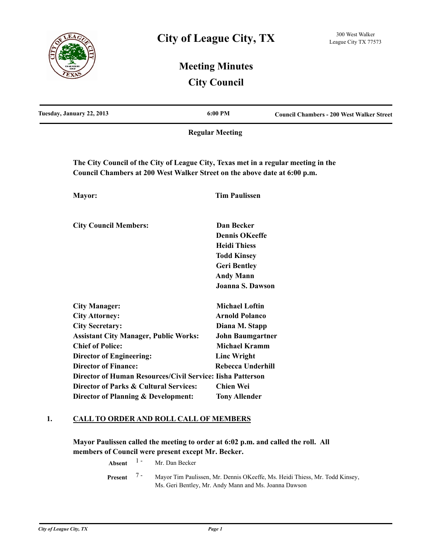

# **Meeting Minutes City Council**

| Tuesday, January 22, 2013                                                                                                                                       | 6:00 PM                  | <b>Council Chambers - 200 West Walker Street</b> |
|-----------------------------------------------------------------------------------------------------------------------------------------------------------------|--------------------------|--------------------------------------------------|
|                                                                                                                                                                 | <b>Regular Meeting</b>   |                                                  |
| The City Council of the City of League City, Texas met in a regular meeting in the<br>Council Chambers at 200 West Walker Street on the above date at 6:00 p.m. |                          |                                                  |
| Mayor:                                                                                                                                                          | <b>Tim Paulissen</b>     |                                                  |
| <b>City Council Members:</b>                                                                                                                                    | <b>Dan Becker</b>        |                                                  |
|                                                                                                                                                                 | <b>Dennis OKeeffe</b>    |                                                  |
|                                                                                                                                                                 | <b>Heidi Thiess</b>      |                                                  |
|                                                                                                                                                                 | <b>Todd Kinsey</b>       |                                                  |
|                                                                                                                                                                 | <b>Geri Bentley</b>      |                                                  |
|                                                                                                                                                                 | <b>Andy Mann</b>         |                                                  |
|                                                                                                                                                                 | <b>Joanna S. Dawson</b>  |                                                  |
| <b>City Manager:</b>                                                                                                                                            | <b>Michael Loftin</b>    |                                                  |
| <b>City Attorney:</b>                                                                                                                                           | <b>Arnold Polanco</b>    |                                                  |
| <b>City Secretary:</b>                                                                                                                                          | Diana M. Stapp           |                                                  |
| <b>Assistant City Manager, Public Works:</b>                                                                                                                    | <b>John Baumgartner</b>  |                                                  |
| <b>Chief of Police:</b>                                                                                                                                         | <b>Michael Kramm</b>     |                                                  |
| <b>Director of Engineering:</b>                                                                                                                                 | <b>Linc Wright</b>       |                                                  |
| <b>Director of Finance:</b>                                                                                                                                     | <b>Rebecca Underhill</b> |                                                  |
| Director of Human Resources/Civil Service: Iisha Patterson                                                                                                      |                          |                                                  |
| Director of Parks & Cultural Services:                                                                                                                          | <b>Chien Wei</b>         |                                                  |
| Director of Planning & Development:                                                                                                                             | <b>Tony Allender</b>     |                                                  |

## **1. CALL TO ORDER AND ROLL CALL OF MEMBERS**

**Mayor Paulissen called the meeting to order at 6:02 p.m. and called the roll. All members of Council were present except Mr. Becker.**

**Absent** <sup>1</sup> - Mr. Dan Becker

Mayor Tim Paulissen, Mr. Dennis OKeeffe, Ms. Heidi Thiess, Mr. Todd Kinsey, Ms. Geri Bentley, Mr. Andy Mann and Ms. Joanna Dawson **Present** 7 -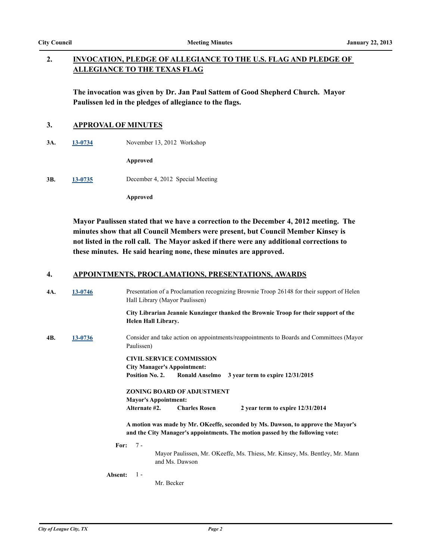#### **INVOCATION, PLEDGE OF ALLEGIANCE TO THE U.S. FLAG AND PLEDGE OF ALLEGIANCE TO THE TEXAS FLAG 2.**

**The invocation was given by Dr. Jan Paul Sattem of Good Shepherd Church. Mayor Paulissen led in the pledges of allegiance to the flags.**

## **3. APPROVAL OF MINUTES**

**3A. [13-0734](http://leaguecity.legistar.com/gateway.aspx?m=l&id=3582)** November 13, 2012 Workshop

**Approved**

**3B. [13-0735](http://leaguecity.legistar.com/gateway.aspx?m=l&id=3583)** December 4, 2012 Special Meeting

**Approved**

**Mayor Paulissen stated that we have a correction to the December 4, 2012 meeting. The minutes show that all Council Members were present, but Council Member Kinsey is not listed in the roll call. The Mayor asked if there were any additional corrections to these minutes. He said hearing none, these minutes are approved.**

## **4. APPOINTMENTS, PROCLAMATIONS, PRESENTATIONS, AWARDS**

| 4A. | 13-0746 | Presentation of a Proclamation recognizing Brownie Troop 26148 for their support of Helen<br>Hall Library (Mayor Paulissen)                                       |  |  |  |
|-----|---------|-------------------------------------------------------------------------------------------------------------------------------------------------------------------|--|--|--|
|     |         | City Librarian Jeannie Kunzinger thanked the Brownie Troop for their support of the<br><b>Helen Hall Library.</b>                                                 |  |  |  |
| 4B. | 13-0736 | Consider and take action on appointments/reappointments to Boards and Committees (Mayor<br>Paulissen)                                                             |  |  |  |
|     |         | <b>CIVIL SERVICE COMMISSION</b><br><b>City Manager's Appointment:</b><br>Position No. 2.<br>Ronald Anselmo 3 year term to expire 12/31/2015                       |  |  |  |
|     |         | <b>ZONING BOARD OF ADJUSTMENT</b><br><b>Mayor's Appointment:</b>                                                                                                  |  |  |  |
|     |         | Alternate #2.<br><b>Charles Rosen</b><br>2 year term to expire $12/31/2014$                                                                                       |  |  |  |
|     |         | A motion was made by Mr. OKeeffe, seconded by Ms. Dawson, to approve the Mayor's<br>and the City Manager's appointments. The motion passed by the following vote: |  |  |  |
|     |         | For: $7 -$<br>Mayor Paulissen, Mr. OKeeffe, Ms. Thiess, Mr. Kinsey, Ms. Bentley, Mr. Mann<br>and Ms. Dawson                                                       |  |  |  |
|     | Absent: | $1 -$<br>Mr. Becker                                                                                                                                               |  |  |  |
|     |         |                                                                                                                                                                   |  |  |  |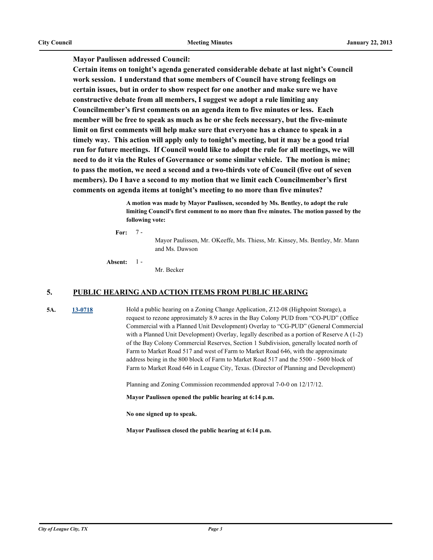**Mayor Paulissen addressed Council:** 

**Certain items on tonight's agenda generated considerable debate at last night's Council work session. I understand that some members of Council have strong feelings on certain issues, but in order to show respect for one another and make sure we have constructive debate from all members, I suggest we adopt a rule limiting any Councilmember's first comments on an agenda item to five minutes or less. Each member will be free to speak as much as he or she feels necessary, but the five-minute limit on first comments will help make sure that everyone has a chance to speak in a timely way. This action will apply only to tonight's meeting, but it may be a good trial run for future meetings. If Council would like to adopt the rule for all meetings, we will need to do it via the Rules of Governance or some similar vehicle. The motion is mine; to pass the motion, we need a second and a two-thirds vote of Council (five out of seven members). Do I have a second to my motion that we limit each Councilmember's first comments on agenda items at tonight's meeting to no more than five minutes?**

> **A motion was made by Mayor Paulissen, seconded by Ms. Bentley, to adopt the rule limiting Council's first comment to no more than five minutes. The motion passed by the following vote:**

**For:** 7 -

> Mayor Paulissen, Mr. OKeeffe, Ms. Thiess, Mr. Kinsey, Ms. Bentley, Mr. Mann and Ms. Dawson

**Absent:**  $1 -$ 

Mr. Becker

#### **5. PUBLIC HEARING AND ACTION ITEMS FROM PUBLIC HEARING**

**5A. [13-0718](http://leaguecity.legistar.com/gateway.aspx?m=l&id=3566)** Hold a public hearing on a Zoning Change Application, Z12-08 (Highpoint Storage), a request to rezone approximately 8.9 acres in the Bay Colony PUD from "CO-PUD" (Office Commercial with a Planned Unit Development) Overlay to "CG-PUD" (General Commercial with a Planned Unit Development) Overlay, legally described as a portion of Reserve A (1-2) of the Bay Colony Commercial Reserves, Section 1 Subdivision, generally located north of Farm to Market Road 517 and west of Farm to Market Road 646, with the approximate address being in the 800 block of Farm to Market Road 517 and the 5500 - 5600 block of Farm to Market Road 646 in League City, Texas. (Director of Planning and Development)

Planning and Zoning Commission recommended approval 7-0-0 on 12/17/12.

**Mayor Paulissen opened the public hearing at 6:14 p.m.**

**No one signed up to speak.**

**Mayor Paulissen closed the public hearing at 6:14 p.m.**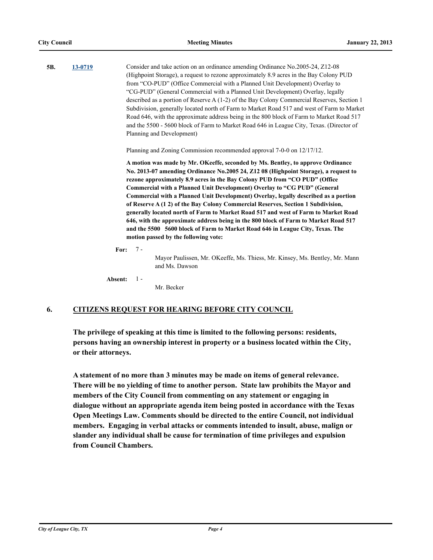| 5B.<br>13-0719 |         | Consider and take action on an ordinance amending Ordinance No. 2005-24, Z12-08<br>(Highpoint Storage), a request to rezone approximately 8.9 acres in the Bay Colony PUD<br>from "CO-PUD" (Office Commercial with a Planned Unit Development) Overlay to<br>"CG-PUD" (General Commercial with a Planned Unit Development) Overlay, legally<br>described as a portion of Reserve A (1-2) of the Bay Colony Commercial Reserves, Section 1<br>Subdivision, generally located north of Farm to Market Road 517 and west of Farm to Market<br>Road 646, with the approximate address being in the 800 block of Farm to Market Road 517<br>and the 5500 - 5600 block of Farm to Market Road 646 in League City, Texas. (Director of<br>Planning and Development)                                                       |
|----------------|---------|--------------------------------------------------------------------------------------------------------------------------------------------------------------------------------------------------------------------------------------------------------------------------------------------------------------------------------------------------------------------------------------------------------------------------------------------------------------------------------------------------------------------------------------------------------------------------------------------------------------------------------------------------------------------------------------------------------------------------------------------------------------------------------------------------------------------|
|                |         | Planning and Zoning Commission recommended approval 7-0-0 on 12/17/12.                                                                                                                                                                                                                                                                                                                                                                                                                                                                                                                                                                                                                                                                                                                                             |
|                |         | A motion was made by Mr. OKeeffe, seconded by Ms. Bentley, to approve Ordinance<br>No. 2013-07 amending Ordinance No. 2005 24, Z12 08 (Highpoint Storage), a request to<br>rezone approximately 8.9 acres in the Bay Colony PUD from "CO PUD" (Office<br>Commercial with a Planned Unit Development) Overlay to "CG PUD" (General<br>Commercial with a Planned Unit Development) Overlay, legally described as a portion<br>of Reserve A (1 2) of the Bay Colony Commercial Reserves, Section 1 Subdivision,<br>generally located north of Farm to Market Road 517 and west of Farm to Market Road<br>646, with the approximate address being in the 800 block of Farm to Market Road 517<br>and the 5500 5600 block of Farm to Market Road 646 in League City, Texas. The<br>motion passed by the following vote: |
|                | For:    | $7 -$<br>Mayor Paulissen, Mr. OKeeffe, Ms. Thiess, Mr. Kinsey, Ms. Bentley, Mr. Mann<br>and Ms. Dawson                                                                                                                                                                                                                                                                                                                                                                                                                                                                                                                                                                                                                                                                                                             |
|                | Absent: | $1 -$<br>Mr. Becker                                                                                                                                                                                                                                                                                                                                                                                                                                                                                                                                                                                                                                                                                                                                                                                                |

## **6. CITIZENS REQUEST FOR HEARING BEFORE CITY COUNCIL**

**The privilege of speaking at this time is limited to the following persons: residents, persons having an ownership interest in property or a business located within the City, or their attorneys.**

**A statement of no more than 3 minutes may be made on items of general relevance. There will be no yielding of time to another person. State law prohibits the Mayor and members of the City Council from commenting on any statement or engaging in dialogue without an appropriate agenda item being posted in accordance with the Texas Open Meetings Law. Comments should be directed to the entire Council, not individual members. Engaging in verbal attacks or comments intended to insult, abuse, malign or slander any individual shall be cause for termination of time privileges and expulsion from Council Chambers.**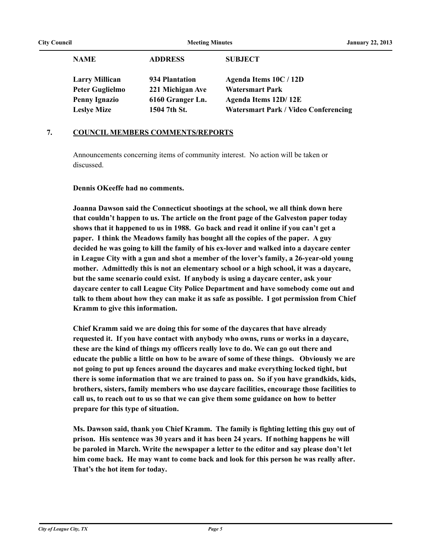| <b>NAME</b>            | <b>ADDRESS</b>   | <b>SUBJECT</b>                              |
|------------------------|------------------|---------------------------------------------|
| <b>Larry Millican</b>  | 934 Plantation   | Agenda Items 10C / 12D                      |
| <b>Peter Guglielmo</b> | 221 Michigan Ave | <b>Watersmart Park</b>                      |
| <b>Penny Ignazio</b>   | 6160 Granger Ln. | Agenda Items 12D/12E                        |
| <b>Leslye Mize</b>     | 1504 7th St.     | <b>Watersmart Park / Video Conferencing</b> |

## **7. COUNCIL MEMBERS COMMENTS/REPORTS**

Announcements concerning items of community interest. No action will be taken or discussed.

#### **Dennis OKeeffe had no comments.**

**Joanna Dawson said the Connecticut shootings at the school, we all think down here that couldn't happen to us. The article on the front page of the Galveston paper today shows that it happened to us in 1988. Go back and read it online if you can't get a paper. I think the Meadows family has bought all the copies of the paper. A guy decided he was going to kill the family of his ex-lover and walked into a daycare center in League City with a gun and shot a member of the lover's family, a 26-year-old young mother. Admittedly this is not an elementary school or a high school, it was a daycare, but the same scenario could exist. If anybody is using a daycare center, ask your daycare center to call League City Police Department and have somebody come out and talk to them about how they can make it as safe as possible. I got permission from Chief Kramm to give this information.** 

**Chief Kramm said we are doing this for some of the daycares that have already requested it. If you have contact with anybody who owns, runs or works in a daycare, these are the kind of things my officers really love to do. We can go out there and educate the public a little on how to be aware of some of these things. Obviously we are not going to put up fences around the daycares and make everything locked tight, but there is some information that we are trained to pass on. So if you have grandkids, kids, brothers, sisters, family members who use daycare facilities, encourage those facilities to call us, to reach out to us so that we can give them some guidance on how to better prepare for this type of situation.**

**Ms. Dawson said, thank you Chief Kramm. The family is fighting letting this guy out of prison. His sentence was 30 years and it has been 24 years. If nothing happens he will be paroled in March. Write the newspaper a letter to the editor and say please don't let him come back. He may want to come back and look for this person he was really after. That's the hot item for today.**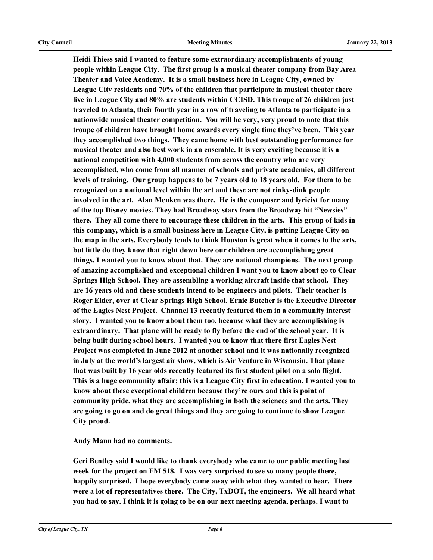**Heidi Thiess said I wanted to feature some extraordinary accomplishments of young people within League City. The first group is a musical theater company from Bay Area Theater and Voice Academy. It is a small business here in League City, owned by League City residents and 70% of the children that participate in musical theater there live in League City and 80% are students within CCISD. This troupe of 26 children just traveled to Atlanta, their fourth year in a row of traveling to Atlanta to participate in a nationwide musical theater competition. You will be very, very proud to note that this troupe of children have brought home awards every single time they've been. This year they accomplished two things. They came home with best outstanding performance for musical theater and also best work in an ensemble. It is very exciting because it is a national competition with 4,000 students from across the country who are very accomplished, who come from all manner of schools and private academies, all different levels of training. Our group happens to be 7 years old to 18 years old. For them to be recognized on a national level within the art and these are not rinky-dink people involved in the art. Alan Menken was there. He is the composer and lyricist for many of the top Disney movies. They had Broadway stars from the Broadway hit "Newsies" there. They all come there to encourage these children in the arts. This group of kids in this company, which is a small business here in League City, is putting League City on the map in the arts. Everybody tends to think Houston is great when it comes to the arts, but little do they know that right down here our children are accomplishing great things. I wanted you to know about that. They are national champions. The next group of amazing accomplished and exceptional children I want you to know about go to Clear Springs High School. They are assembling a working aircraft inside that school. They are 16 years old and these students intend to be engineers and pilots. Their teacher is Roger Elder, over at Clear Springs High School. Ernie Butcher is the Executive Director of the Eagles Nest Project. Channel 13 recently featured them in a community interest story. I wanted you to know about them too, because what they are accomplishing is extraordinary. That plane will be ready to fly before the end of the school year. It is being built during school hours. I wanted you to know that there first Eagles Nest Project was completed in June 2012 at another school and it was nationally recognized in July at the world's largest air show, which is Air Venture in Wisconsin. That plane that was built by 16 year olds recently featured its first student pilot on a solo flight. This is a huge community affair; this is a League City first in education. I wanted you to know about these exceptional children because they're ours and this is point of community pride, what they are accomplishing in both the sciences and the arts. They are going to go on and do great things and they are going to continue to show League City proud.**

**Andy Mann had no comments.**

**Geri Bentley said I would like to thank everybody who came to our public meeting last week for the project on FM 518. I was very surprised to see so many people there, happily surprised. I hope everybody came away with what they wanted to hear. There were a lot of representatives there. The City, TxDOT, the engineers. We all heard what you had to say. I think it is going to be on our next meeting agenda, perhaps. I want to**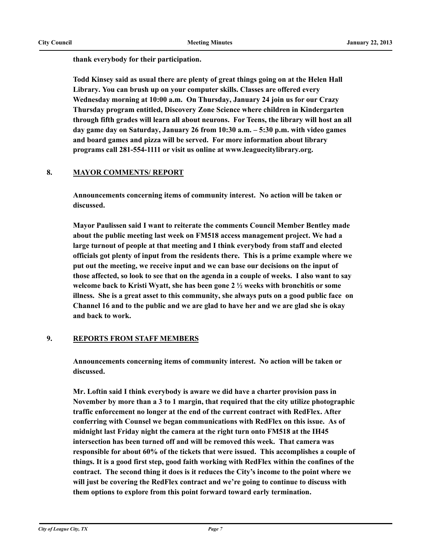**thank everybody for their participation.** 

**Todd Kinsey said as usual there are plenty of great things going on at the Helen Hall Library. You can brush up on your computer skills. Classes are offered every Wednesday morning at 10:00 a.m. On Thursday, January 24 join us for our Crazy Thursday program entitled, Discovery Zone Science where children in Kindergarten through fifth grades will learn all about neurons. For Teens, the library will host an all day game day on Saturday, January 26 from 10:30 a.m. – 5:30 p.m. with video games and board games and pizza will be served. For more information about library programs call 281-554-1111 or visit us online at www.leaguecitylibrary.org.**

## **8. MAYOR COMMENTS/ REPORT**

**Announcements concerning items of community interest. No action will be taken or discussed.**

**Mayor Paulissen said I want to reiterate the comments Council Member Bentley made about the public meeting last week on FM518 access management project. We had a large turnout of people at that meeting and I think everybody from staff and elected officials got plenty of input from the residents there. This is a prime example where we put out the meeting, we receive input and we can base our decisions on the input of those affected, so look to see that on the agenda in a couple of weeks. I also want to say welcome back to Kristi Wyatt, she has been gone 2 ½ weeks with bronchitis or some illness. She is a great asset to this community, she always puts on a good public face on Channel 16 and to the public and we are glad to have her and we are glad she is okay and back to work.**

## **9. REPORTS FROM STAFF MEMBERS**

**Announcements concerning items of community interest. No action will be taken or discussed.**

**Mr. Loftin said I think everybody is aware we did have a charter provision pass in November by more than a 3 to 1 margin, that required that the city utilize photographic traffic enforcement no longer at the end of the current contract with RedFlex. After conferring with Counsel we began communications with RedFlex on this issue. As of midnight last Friday night the camera at the right turn onto FM518 at the IH45 intersection has been turned off and will be removed this week. That camera was responsible for about 60% of the tickets that were issued. This accomplishes a couple of things. It is a good first step, good faith working with RedFlex within the confines of the contract. The second thing it does is it reduces the City's income to the point where we will just be covering the RedFlex contract and we're going to continue to discuss with them options to explore from this point forward toward early termination.**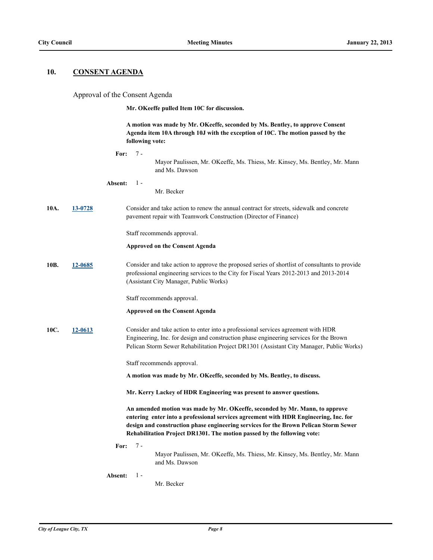#### **10. CONSENT AGENDA**

#### Approval of the Consent Agenda

**Mr. OKeeffe pulled Item 10C for discussion.**

**A motion was made by Mr. OKeeffe, seconded by Ms. Bentley, to approve Consent Agenda item 10A through 10J with the exception of 10C. The motion passed by the following vote:**

**For:** 7 - Mayor Paulissen, Mr. OKeeffe, Ms. Thiess, Mr. Kinsey, Ms. Bentley, Mr. Mann and Ms. Dawson **Absent:** Mr. Becker 1 - **10A. [13-0728](http://leaguecity.legistar.com/gateway.aspx?m=l&id=3576)** Consider and take action to renew the annual contract for streets, sidewalk and concrete pavement repair with Teamwork Construction (Director of Finance) Staff recommends approval. **Approved on the Consent Agenda 10B. [12-0685](http://leaguecity.legistar.com/gateway.aspx?m=l&id=3533)** Consider and take action to approve the proposed series of shortlist of consultants to provide professional engineering services to the City for Fiscal Years 2012-2013 and 2013-2014 (Assistant City Manager, Public Works) Staff recommends approval. **Approved on the Consent Agenda 10C. [12-0613](http://leaguecity.legistar.com/gateway.aspx?m=l&id=3461)** Consider and take action to enter into a professional services agreement with HDR Engineering, Inc. for design and construction phase engineering services for the Brown Pelican Storm Sewer Rehabilitation Project DR1301 (Assistant City Manager, Public Works) Staff recommends approval. **A motion was made by Mr. OKeeffe, seconded by Ms. Bentley, to discuss. Mr. Kerry Lackey of HDR Engineering was present to answer questions. An amended motion was made by Mr. OKeeffe, seconded by Mr. Mann, to approve entering enter into a professional services agreement with HDR Engineering, Inc. for design and construction phase engineering services for the Brown Pelican Storm Sewer Rehabilitation Project DR1301. The motion passed by the following vote: For:** 7 - Mayor Paulissen, Mr. OKeeffe, Ms. Thiess, Mr. Kinsey, Ms. Bentley, Mr. Mann and Ms. Dawson **Absent:**  $1 -$ 

Mr. Becker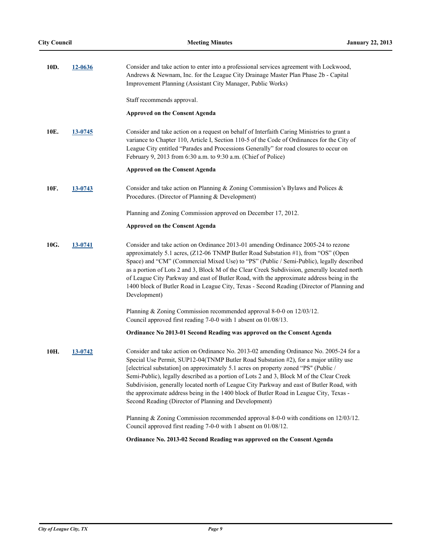| 10D. | 12-0636 | Consider and take action to enter into a professional services agreement with Lockwood,<br>Andrews & Newnam, Inc. for the League City Drainage Master Plan Phase 2b - Capital<br>Improvement Planning (Assistant City Manager, Public Works)                                                                                                                                                                                                                                                                                                                                                                       |
|------|---------|--------------------------------------------------------------------------------------------------------------------------------------------------------------------------------------------------------------------------------------------------------------------------------------------------------------------------------------------------------------------------------------------------------------------------------------------------------------------------------------------------------------------------------------------------------------------------------------------------------------------|
|      |         | Staff recommends approval.                                                                                                                                                                                                                                                                                                                                                                                                                                                                                                                                                                                         |
|      |         | <b>Approved on the Consent Agenda</b>                                                                                                                                                                                                                                                                                                                                                                                                                                                                                                                                                                              |
| 10E. | 13-0745 | Consider and take action on a request on behalf of Interfaith Caring Ministries to grant a<br>variance to Chapter 110, Article I, Section 110-5 of the Code of Ordinances for the City of<br>League City entitled "Parades and Processions Generally" for road closures to occur on<br>February 9, 2013 from 6:30 a.m. to 9:30 a.m. (Chief of Police)                                                                                                                                                                                                                                                              |
|      |         | <b>Approved on the Consent Agenda</b>                                                                                                                                                                                                                                                                                                                                                                                                                                                                                                                                                                              |
| 10F. | 13-0743 | Consider and take action on Planning & Zoning Commission's Bylaws and Polices &<br>Procedures. (Director of Planning & Development)                                                                                                                                                                                                                                                                                                                                                                                                                                                                                |
|      |         | Planning and Zoning Commission approved on December 17, 2012.                                                                                                                                                                                                                                                                                                                                                                                                                                                                                                                                                      |
|      |         | <b>Approved on the Consent Agenda</b>                                                                                                                                                                                                                                                                                                                                                                                                                                                                                                                                                                              |
| 10G. | 13-0741 | Consider and take action on Ordinance 2013-01 amending Ordinance 2005-24 to rezone<br>approximately 5.1 acres, (Z12-06 TNMP Butler Road Substation #1), from "OS" (Open<br>Space) and "CM" (Commercial Mixed Use) to "PS" (Public / Semi-Public), legally described<br>as a portion of Lots 2 and 3, Block M of the Clear Creek Subdivision, generally located north<br>of League City Parkway and east of Butler Road, with the approximate address being in the<br>1400 block of Butler Road in League City, Texas - Second Reading (Director of Planning and<br>Development)                                    |
|      |         | Planning & Zoning Commission recommended approval 8-0-0 on 12/03/12.<br>Council approved first reading 7-0-0 with 1 absent on 01/08/13.                                                                                                                                                                                                                                                                                                                                                                                                                                                                            |
|      |         | Ordinance No 2013-01 Second Reading was approved on the Consent Agenda                                                                                                                                                                                                                                                                                                                                                                                                                                                                                                                                             |
| 10H. | 13-0742 | Consider and take action on Ordinance No. 2013-02 amending Ordinance No. 2005-24 for a<br>Special Use Permit, SUP12-04(TNMP Butler Road Substation #2), for a major utility use<br>[electrical substation] on approximately 5.1 acres on property zoned "PS" (Public /<br>Semi-Public), legally described as a portion of Lots 2 and 3, Block M of the Clear Creek<br>Subdivision, generally located north of League City Parkway and east of Butler Road, with<br>the approximate address being in the 1400 block of Butler Road in League City, Texas -<br>Second Reading (Director of Planning and Development) |
|      |         | Planning & Zoning Commission recommended approval 8-0-0 with conditions on 12/03/12.<br>Council approved first reading 7-0-0 with 1 absent on 01/08/12.                                                                                                                                                                                                                                                                                                                                                                                                                                                            |
|      |         | Ordinance No. 2013-02 Second Reading was approved on the Consent Agenda                                                                                                                                                                                                                                                                                                                                                                                                                                                                                                                                            |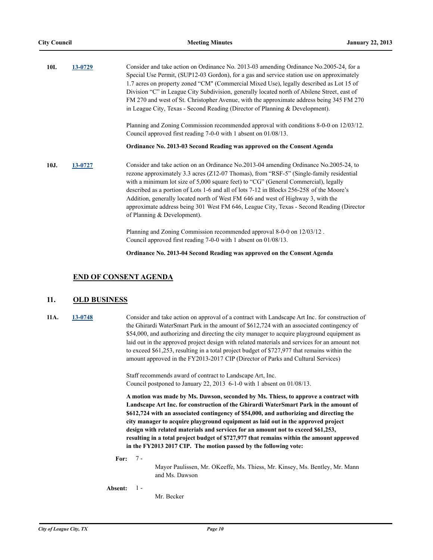| 10I. | 13-0729 | Consider and take action on Ordinance No. 2013-03 amending Ordinance No. 2005-24, for a<br>Special Use Permit, (SUP12-03 Gordon), for a gas and service station use on approximately<br>1.7 acres on property zoned "CM" (Commercial Mixed Use), legally described as Lot 15 of<br>Division "C" in League City Subdivision, generally located north of Abilene Street, east of<br>FM 270 and west of St. Christopher Avenue, with the approximate address being 345 FM 270<br>in League City, Texas - Second Reading (Director of Planning & Development).                           |  |  |  |
|------|---------|--------------------------------------------------------------------------------------------------------------------------------------------------------------------------------------------------------------------------------------------------------------------------------------------------------------------------------------------------------------------------------------------------------------------------------------------------------------------------------------------------------------------------------------------------------------------------------------|--|--|--|
|      |         | Planning and Zoning Commission recommended approval with conditions 8-0-0 on 12/03/12.<br>Council approved first reading $7-0-0$ with 1 absent on $01/08/13$ .                                                                                                                                                                                                                                                                                                                                                                                                                       |  |  |  |
|      |         | Ordinance No. 2013-03 Second Reading was approved on the Consent Agenda                                                                                                                                                                                                                                                                                                                                                                                                                                                                                                              |  |  |  |
| 10J. | 13-0727 | Consider and take action on an Ordinance No.2013-04 amending Ordinance No.2005-24, to<br>rezone approximately 3.3 acres (Z12-07 Thomas), from "RSF-5" (Single-family residential<br>with a minimum lot size of 5,000 square feet) to "CG" (General Commercial), legally<br>described as a portion of Lots 1-6 and all of lots 7-12 in Blocks 256-258 of the Moore's<br>Addition, generally located north of West FM 646 and west of Highway 3, with the<br>approximate address being 301 West FM 646, League City, Texas - Second Reading (Director<br>of Planning $&$ Development). |  |  |  |
|      |         | Planning and Zoning Commission recommended approval 8-0-0 on 12/03/12.<br>Council approved first reading 7-0-0 with 1 absent on 01/08/13.                                                                                                                                                                                                                                                                                                                                                                                                                                            |  |  |  |

**Ordinance No. 2013-04 Second Reading was approved on the Consent Agenda**

#### **END OF CONSENT AGENDA**

## **11. OLD BUSINESS**

**11A. [13-0748](http://leaguecity.legistar.com/gateway.aspx?m=l&id=3596)** Consider and take action on approval of a contract with Landscape Art Inc. for construction of the Ghirardi WaterSmart Park in the amount of \$612,724 with an associated contingency of \$54,000, and authorizing and directing the city manager to acquire playground equipment as laid out in the approved project design with related materials and services for an amount not to exceed \$61,253, resulting in a total project budget of \$727,977 that remains within the amount approved in the FY2013-2017 CIP (Director of Parks and Cultural Services)

> Staff recommends award of contract to Landscape Art, Inc. Council postponed to January 22, 2013 6-1-0 with 1 absent on 01/08/13.

**A motion was made by Ms. Dawson, seconded by Ms. Thiess, to approve a contract with Landscape Art Inc. for construction of the Ghirardi WaterSmart Park in the amount of \$612,724 with an associated contingency of \$54,000, and authorizing and directing the city manager to acquire playground equipment as laid out in the approved project design with related materials and services for an amount not to exceed \$61,253, resulting in a total project budget of \$727,977 that remains within the amount approved in the FY2013 2017 CIP. The motion passed by the following vote:**

**For:** 7 -

Mayor Paulissen, Mr. OKeeffe, Ms. Thiess, Mr. Kinsey, Ms. Bentley, Mr. Mann and Ms. Dawson

**Absent:** 1 -

Mr. Becker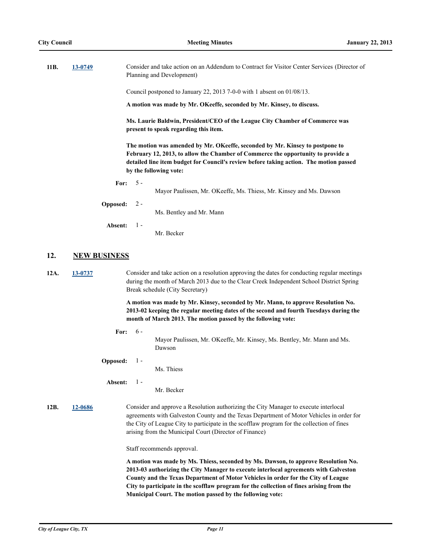| 11B. | 13-0749                                                                                                                                                                                                                                                                                                                                                                                                                  |          | Consider and take action on an Addendum to Contract for Visitor Center Services (Director of<br>Planning and Development)                                                                                                                                                                                                                                                                                                                                                  |  |
|------|--------------------------------------------------------------------------------------------------------------------------------------------------------------------------------------------------------------------------------------------------------------------------------------------------------------------------------------------------------------------------------------------------------------------------|----------|----------------------------------------------------------------------------------------------------------------------------------------------------------------------------------------------------------------------------------------------------------------------------------------------------------------------------------------------------------------------------------------------------------------------------------------------------------------------------|--|
|      |                                                                                                                                                                                                                                                                                                                                                                                                                          |          | Council postponed to January 22, 2013 7-0-0 with 1 absent on $01/08/13$ .                                                                                                                                                                                                                                                                                                                                                                                                  |  |
|      |                                                                                                                                                                                                                                                                                                                                                                                                                          |          | A motion was made by Mr. OKeeffe, seconded by Mr. Kinsey, to discuss.                                                                                                                                                                                                                                                                                                                                                                                                      |  |
|      |                                                                                                                                                                                                                                                                                                                                                                                                                          |          | Ms. Laurie Baldwin, President/CEO of the League City Chamber of Commerce was<br>present to speak regarding this item.                                                                                                                                                                                                                                                                                                                                                      |  |
|      |                                                                                                                                                                                                                                                                                                                                                                                                                          |          | The motion was amended by Mr. OKeeffe, seconded by Mr. Kinsey to postpone to<br>February 12, 2013, to allow the Chamber of Commerce the opportunity to provide a<br>detailed line item budget for Council's review before taking action. The motion passed<br>by the following vote:                                                                                                                                                                                       |  |
|      |                                                                                                                                                                                                                                                                                                                                                                                                                          | For:     | $5 -$<br>Mayor Paulissen, Mr. OKeeffe, Ms. Thiess, Mr. Kinsey and Ms. Dawson                                                                                                                                                                                                                                                                                                                                                                                               |  |
|      |                                                                                                                                                                                                                                                                                                                                                                                                                          | Opposed: | $2 -$                                                                                                                                                                                                                                                                                                                                                                                                                                                                      |  |
|      |                                                                                                                                                                                                                                                                                                                                                                                                                          |          | Ms. Bentley and Mr. Mann                                                                                                                                                                                                                                                                                                                                                                                                                                                   |  |
|      |                                                                                                                                                                                                                                                                                                                                                                                                                          | Absent:  | $1 -$<br>Mr. Becker                                                                                                                                                                                                                                                                                                                                                                                                                                                        |  |
| 12.  | <b>NEW BUSINESS</b>                                                                                                                                                                                                                                                                                                                                                                                                      |          |                                                                                                                                                                                                                                                                                                                                                                                                                                                                            |  |
| 12A. | 13-0737                                                                                                                                                                                                                                                                                                                                                                                                                  |          | Consider and take action on a resolution approving the dates for conducting regular meetings<br>during the month of March 2013 due to the Clear Creek Independent School District Spring<br>Break schedule (City Secretary)<br>A motion was made by Mr. Kinsey, seconded by Mr. Mann, to approve Resolution No.<br>2013-02 keeping the regular meeting dates of the second and fourth Tuesdays during the<br>month of March 2013. The motion passed by the following vote: |  |
|      |                                                                                                                                                                                                                                                                                                                                                                                                                          |          |                                                                                                                                                                                                                                                                                                                                                                                                                                                                            |  |
|      |                                                                                                                                                                                                                                                                                                                                                                                                                          | For:     | $6 -$                                                                                                                                                                                                                                                                                                                                                                                                                                                                      |  |
|      |                                                                                                                                                                                                                                                                                                                                                                                                                          |          | Mayor Paulissen, Mr. OKeeffe, Mr. Kinsey, Ms. Bentley, Mr. Mann and Ms.<br>Dawson                                                                                                                                                                                                                                                                                                                                                                                          |  |
|      |                                                                                                                                                                                                                                                                                                                                                                                                                          | Opposed: | $1 -$                                                                                                                                                                                                                                                                                                                                                                                                                                                                      |  |
|      |                                                                                                                                                                                                                                                                                                                                                                                                                          |          | Ms. Thiess                                                                                                                                                                                                                                                                                                                                                                                                                                                                 |  |
|      |                                                                                                                                                                                                                                                                                                                                                                                                                          | Absent:  | $1 -$<br>Mr. Becker                                                                                                                                                                                                                                                                                                                                                                                                                                                        |  |
| 12B. | Consider and approve a Resolution authorizing the City Manager to execute interlocal<br>12-0686<br>agreements with Galveston County and the Texas Department of Motor Vehicles in order for<br>the City of League City to participate in the scofflaw program for the collection of fines<br>arising from the Municipal Court (Director of Finance)                                                                      |          |                                                                                                                                                                                                                                                                                                                                                                                                                                                                            |  |
|      |                                                                                                                                                                                                                                                                                                                                                                                                                          |          | Staff recommends approval.                                                                                                                                                                                                                                                                                                                                                                                                                                                 |  |
|      | A motion was made by Ms. Thiess, seconded by Ms. Dawson, to approve Resolution No.<br>2013-03 authorizing the City Manager to execute interlocal agreements with Galveston<br>County and the Texas Department of Motor Vehicles in order for the City of League<br>City to participate in the scofflaw program for the collection of fines arising from the<br>Municipal Court. The motion passed by the following vote: |          |                                                                                                                                                                                                                                                                                                                                                                                                                                                                            |  |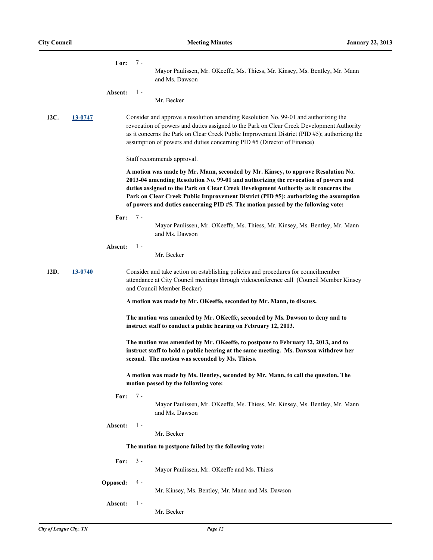|      |                                                                                                                                                  | For:                                                                                                                      | 7 -<br>Mayor Paulissen, Mr. OKeeffe, Ms. Thiess, Mr. Kinsey, Ms. Bentley, Mr. Mann<br>and Ms. Dawson                                                                                                                                                                                                                                                                                                                                      |  |  |
|------|--------------------------------------------------------------------------------------------------------------------------------------------------|---------------------------------------------------------------------------------------------------------------------------|-------------------------------------------------------------------------------------------------------------------------------------------------------------------------------------------------------------------------------------------------------------------------------------------------------------------------------------------------------------------------------------------------------------------------------------------|--|--|
|      |                                                                                                                                                  | Absent:<br>$1 -$                                                                                                          | Mr. Becker                                                                                                                                                                                                                                                                                                                                                                                                                                |  |  |
| 12C. | 13-0747                                                                                                                                          |                                                                                                                           | Consider and approve a resolution amending Resolution No. 99-01 and authorizing the<br>revocation of powers and duties assigned to the Park on Clear Creek Development Authority<br>as it concerns the Park on Clear Creek Public Improvement District (PID #5); authorizing the<br>assumption of powers and duties concerning PID #5 (Director of Finance)                                                                               |  |  |
|      |                                                                                                                                                  |                                                                                                                           | Staff recommends approval.                                                                                                                                                                                                                                                                                                                                                                                                                |  |  |
|      |                                                                                                                                                  |                                                                                                                           | A motion was made by Mr. Mann, seconded by Mr. Kinsey, to approve Resolution No.<br>2013-04 amending Resolution No. 99-01 and authorizing the revocation of powers and<br>duties assigned to the Park on Clear Creek Development Authority as it concerns the<br>Park on Clear Creek Public Improvement District (PID #5); authorizing the assumption<br>of powers and duties concerning PID #5. The motion passed by the following vote: |  |  |
|      |                                                                                                                                                  | 7 -<br>For:                                                                                                               | Mayor Paulissen, Mr. OKeeffe, Ms. Thiess, Mr. Kinsey, Ms. Bentley, Mr. Mann<br>and Ms. Dawson                                                                                                                                                                                                                                                                                                                                             |  |  |
|      |                                                                                                                                                  | $1 -$<br><b>Absent:</b>                                                                                                   |                                                                                                                                                                                                                                                                                                                                                                                                                                           |  |  |
|      |                                                                                                                                                  |                                                                                                                           | Mr. Becker                                                                                                                                                                                                                                                                                                                                                                                                                                |  |  |
| 12D. | 13-0740                                                                                                                                          |                                                                                                                           | Consider and take action on establishing policies and procedures for councilmember<br>attendance at City Council meetings through videoconference call (Council Member Kinsey<br>and Council Member Becker)                                                                                                                                                                                                                               |  |  |
|      | A motion was made by Mr. OKeeffe, seconded by Mr. Mann, to discuss.                                                                              |                                                                                                                           |                                                                                                                                                                                                                                                                                                                                                                                                                                           |  |  |
|      | The motion was amended by Mr. OKeeffe, seconded by Ms. Dawson to deny and to<br>instruct staff to conduct a public hearing on February 12, 2013. |                                                                                                                           |                                                                                                                                                                                                                                                                                                                                                                                                                                           |  |  |
|      |                                                                                                                                                  |                                                                                                                           | The motion was amended by Mr. OKeeffe, to postpone to February 12, 2013, and to<br>instruct staff to hold a public hearing at the same meeting. Ms. Dawson withdrew her<br>second. The motion was seconded by Ms. Thiess.                                                                                                                                                                                                                 |  |  |
|      |                                                                                                                                                  | A motion was made by Ms. Bentley, seconded by Mr. Mann, to call the question. The<br>motion passed by the following vote: |                                                                                                                                                                                                                                                                                                                                                                                                                                           |  |  |
|      |                                                                                                                                                  | For:                                                                                                                      | $7 -$<br>Mayor Paulissen, Mr. OKeeffe, Ms. Thiess, Mr. Kinsey, Ms. Bentley, Mr. Mann<br>and Ms. Dawson                                                                                                                                                                                                                                                                                                                                    |  |  |
|      |                                                                                                                                                  | Absent:                                                                                                                   | $1 -$<br>Mr. Becker                                                                                                                                                                                                                                                                                                                                                                                                                       |  |  |
|      |                                                                                                                                                  |                                                                                                                           | The motion to postpone failed by the following vote:                                                                                                                                                                                                                                                                                                                                                                                      |  |  |
|      |                                                                                                                                                  | $3 -$<br>For:                                                                                                             | Mayor Paulissen, Mr. OKeeffe and Ms. Thiess                                                                                                                                                                                                                                                                                                                                                                                               |  |  |
|      |                                                                                                                                                  | $4 -$<br>Opposed:                                                                                                         | Mr. Kinsey, Ms. Bentley, Mr. Mann and Ms. Dawson                                                                                                                                                                                                                                                                                                                                                                                          |  |  |
|      |                                                                                                                                                  | $1 -$<br>Absent:                                                                                                          | Mr. Becker                                                                                                                                                                                                                                                                                                                                                                                                                                |  |  |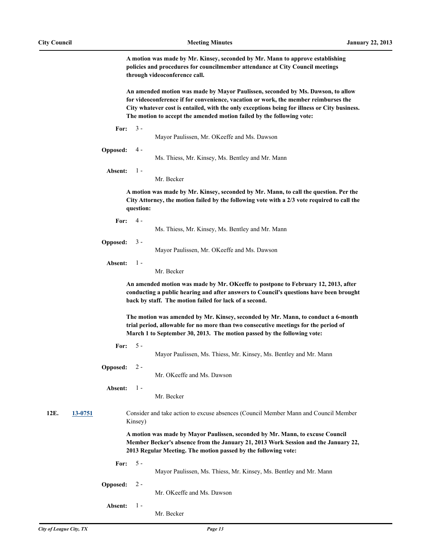**A motion was made by Mr. Kinsey, seconded by Mr. Mann to approve establishing policies and procedures for councilmember attendance at City Council meetings through videoconference call.**

**An amended motion was made by Mayor Paulissen, seconded by Ms. Dawson, to allow for videoconference if for convenience, vacation or work, the member reimburses the City whatever cost is entailed, with the only exceptions being for illness or City business. The motion to accept the amended motion failed by the following vote:**

| I<br>r or |  |
|-----------|--|
|-----------|--|

Mayor Paulissen, Mr. OKeeffe and Ms. Dawson

```
Opposed:
4 -
```
Ms. Thiess, Mr. Kinsey, Ms. Bentley and Mr. Mann

**Absent:** 1 -

Mr. Becker

**A motion was made by Mr. Kinsey, seconded by Mr. Mann, to call the question. Per the City Attorney, the motion failed by the following vote with a 2/3 vote required to call the question:**

**For:**  $4 -$ 

Ms. Thiess, Mr. Kinsey, Ms. Bentley and Mr. Mann

```
Opposed:
  3 -
```
Mayor Paulissen, Mr. OKeeffe and Ms. Dawson

**Absent:** 1 -

Mr. Becker

**An amended motion was made by Mr. OKeeffe to postpone to February 12, 2013, after conducting a public hearing and after answers to Council's questions have been brought back by staff. The motion failed for lack of a second.**

**The motion was amended by Mr. Kinsey, seconded by Mr. Mann, to conduct a 6-month trial period, allowable for no more than two consecutive meetings for the period of March 1 to September 30, 2013. The motion passed by the following vote:**

- **For:** 5 -
- Mayor Paulissen, Ms. Thiess, Mr. Kinsey, Ms. Bentley and Mr. Mann
- **Opposed:**  $2 -$

Mr. OKeeffe and Ms. Dawson

**Absent:** 1 -

Mr. Becker

**12E. [13-0751](http://leaguecity.legistar.com/gateway.aspx?m=l&id=3599)** Consider and take action to excuse absences (Council Member Mann and Council Member Kinsey)

> **A motion was made by Mayor Paulissen, seconded by Mr. Mann, to excuse Council Member Becker's absence from the January 21, 2013 Work Session and the January 22, 2013 Regular Meeting. The motion passed by the following vote:**

**For:** 5 - Mayor Paulissen, Ms. Thiess, Mr. Kinsey, Ms. Bentley and Mr. Mann **Opposed:**  $2 -$ 

Mr. OKeeffe and Ms. Dawson

- **Absent:** 1 -
- Mr. Becker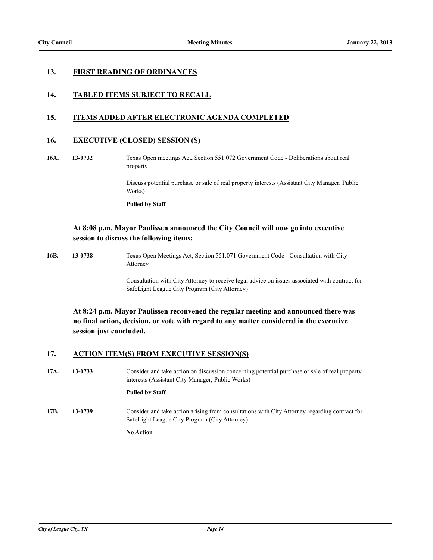## **13. FIRST READING OF ORDINANCES**

## **14. TABLED ITEMS SUBJECT TO RECALL**

## **15. ITEMS ADDED AFTER ELECTRONIC AGENDA COMPLETED**

## **16. EXECUTIVE (CLOSED) SESSION (S)**

**16A. 13-0732** Texas Open meetings Act, Section 551.072 Government Code - Deliberations about real property

> Discuss potential purchase or sale of real property interests (Assistant City Manager, Public Works)

**Pulled by Staff**

## **At 8:08 p.m. Mayor Paulissen announced the City Council will now go into executive session to discuss the following items:**

**16B. 13-0738** Texas Open Meetings Act, Section 551.071 Government Code - Consultation with City Attorney

> Consultation with City Attorney to receive legal advice on issues associated with contract for SafeLight League City Program (City Attorney)

**At 8:24 p.m. Mayor Paulissen reconvened the regular meeting and announced there was no final action, decision, or vote with regard to any matter considered in the executive session just concluded.**

## **17. ACTION ITEM(S) FROM EXECUTIVE SESSION(S)**

**17A. 13-0733** Consider and take action on discussion concerning potential purchase or sale of real property interests (Assistant City Manager, Public Works)

#### **Pulled by Staff**

**17B. 13-0739** Consider and take action arising from consultations with City Attorney regarding contract for SafeLight League City Program (City Attorney)

**No Action**